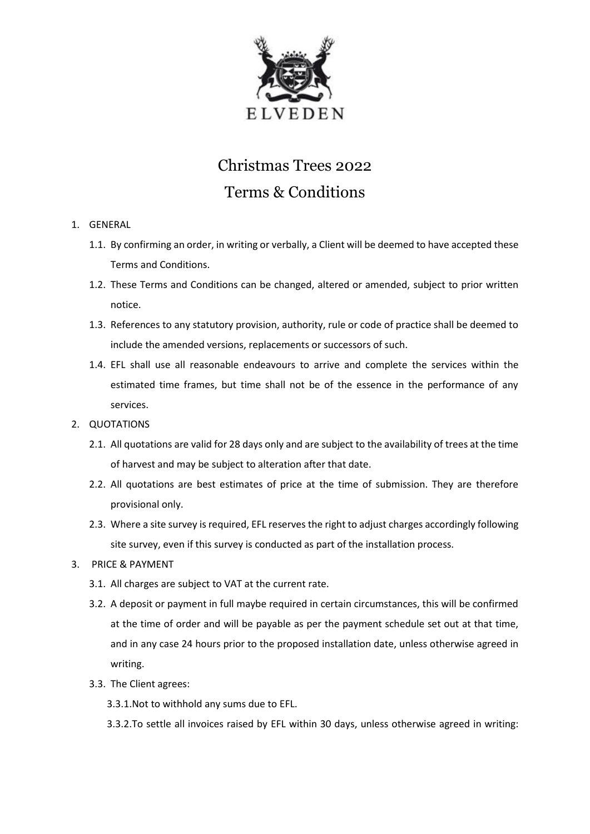

# Christmas Trees 2022 Terms & Conditions

- 1. GENERAL
	- 1.1. By confirming an order, in writing or verbally, a Client will be deemed to have accepted these Terms and Conditions.
	- 1.2. These Terms and Conditions can be changed, altered or amended, subject to prior written notice.
	- 1.3. References to any statutory provision, authority, rule or code of practice shall be deemed to include the amended versions, replacements or successors of such.
	- 1.4. EFL shall use all reasonable endeavours to arrive and complete the services within the estimated time frames, but time shall not be of the essence in the performance of any services.
- 2. QUOTATIONS
	- 2.1. All quotations are valid for 28 days only and are subject to the availability of trees at the time of harvest and may be subject to alteration after that date.
	- 2.2. All quotations are best estimates of price at the time of submission. They are therefore provisional only.
	- 2.3. Where a site survey is required, EFL reserves the right to adjust charges accordingly following site survey, even if this survey is conducted as part of the installation process.
- 3. PRICE & PAYMENT
	- 3.1. All charges are subject to VAT at the current rate.
	- 3.2. A deposit or payment in full maybe required in certain circumstances, this will be confirmed at the time of order and will be payable as per the payment schedule set out at that time, and in any case 24 hours prior to the proposed installation date, unless otherwise agreed in writing.
	- 3.3. The Client agrees:
		- 3.3.1.Not to withhold any sums due to EFL.
		- 3.3.2.To settle all invoices raised by EFL within 30 days, unless otherwise agreed in writing: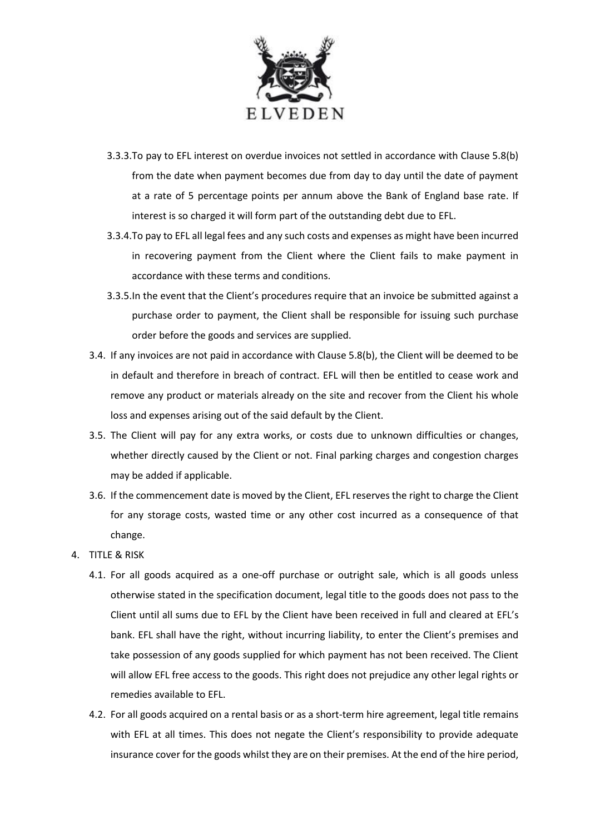

- 3.3.3.To pay to EFL interest on overdue invoices not settled in accordance with Clause 5.8(b) from the date when payment becomes due from day to day until the date of payment at a rate of 5 percentage points per annum above the Bank of England base rate. If interest is so charged it will form part of the outstanding debt due to EFL.
- 3.3.4.To pay to EFL all legal fees and any such costs and expenses as might have been incurred in recovering payment from the Client where the Client fails to make payment in accordance with these terms and conditions.
- 3.3.5.In the event that the Client's procedures require that an invoice be submitted against a purchase order to payment, the Client shall be responsible for issuing such purchase order before the goods and services are supplied.
- 3.4. If any invoices are not paid in accordance with Clause 5.8(b), the Client will be deemed to be in default and therefore in breach of contract. EFL will then be entitled to cease work and remove any product or materials already on the site and recover from the Client his whole loss and expenses arising out of the said default by the Client.
- 3.5. The Client will pay for any extra works, or costs due to unknown difficulties or changes, whether directly caused by the Client or not. Final parking charges and congestion charges may be added if applicable.
- 3.6. If the commencement date is moved by the Client, EFL reserves the right to charge the Client for any storage costs, wasted time or any other cost incurred as a consequence of that change.
- 4. TITLE & RISK
	- 4.1. For all goods acquired as a one-off purchase or outright sale, which is all goods unless otherwise stated in the specification document, legal title to the goods does not pass to the Client until all sums due to EFL by the Client have been received in full and cleared at EFL's bank. EFL shall have the right, without incurring liability, to enter the Client's premises and take possession of any goods supplied for which payment has not been received. The Client will allow EFL free access to the goods. This right does not prejudice any other legal rights or remedies available to EFL.
	- 4.2. For all goods acquired on a rental basis or as a short-term hire agreement, legal title remains with EFL at all times. This does not negate the Client's responsibility to provide adequate insurance cover for the goods whilst they are on their premises. At the end of the hire period,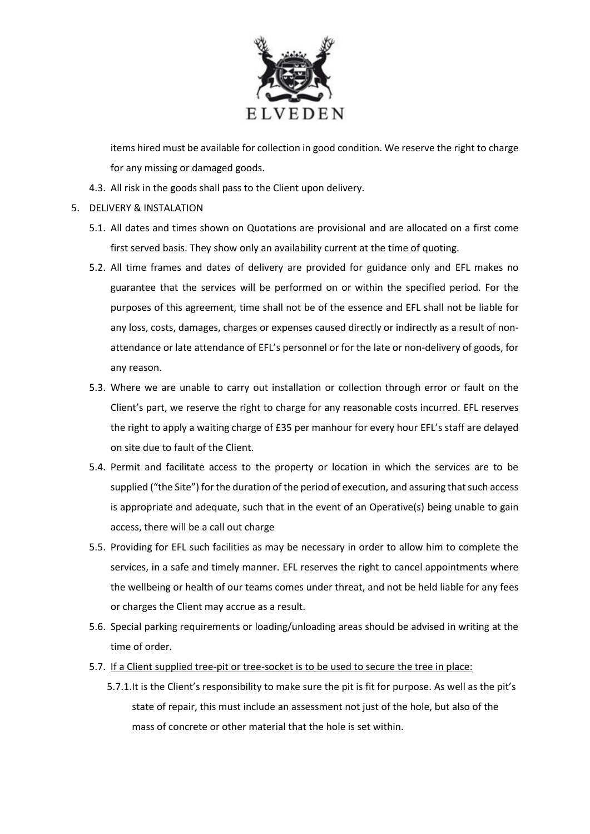

items hired must be available for collection in good condition. We reserve the right to charge for any missing or damaged goods.

- 4.3. All risk in the goods shall pass to the Client upon delivery.
- 5. DELIVERY & INSTALATION
	- 5.1. All dates and times shown on Quotations are provisional and are allocated on a first come first served basis. They show only an availability current at the time of quoting.
	- 5.2. All time frames and dates of delivery are provided for guidance only and EFL makes no guarantee that the services will be performed on or within the specified period. For the purposes of this agreement, time shall not be of the essence and EFL shall not be liable for any loss, costs, damages, charges or expenses caused directly or indirectly as a result of nonattendance or late attendance of EFL's personnel or for the late or non-delivery of goods, for any reason.
	- 5.3. Where we are unable to carry out installation or collection through error or fault on the Client's part, we reserve the right to charge for any reasonable costs incurred. EFL reserves the right to apply a waiting charge of £35 per manhour for every hour EFL's staff are delayed on site due to fault of the Client.
	- 5.4. Permit and facilitate access to the property or location in which the services are to be supplied ("the Site") for the duration of the period of execution, and assuring that such access is appropriate and adequate, such that in the event of an Operative(s) being unable to gain access, there will be a call out charge
	- 5.5. Providing for EFL such facilities as may be necessary in order to allow him to complete the services, in a safe and timely manner. EFL reserves the right to cancel appointments where the wellbeing or health of our teams comes under threat, and not be held liable for any fees or charges the Client may accrue as a result.
	- 5.6. Special parking requirements or loading/unloading areas should be advised in writing at the time of order.
	- 5.7. If a Client supplied tree-pit or tree-socket is to be used to secure the tree in place:
		- 5.7.1.It is the Client's responsibility to make sure the pit is fit for purpose. As well as the pit's state of repair, this must include an assessment not just of the hole, but also of the mass of concrete or other material that the hole is set within.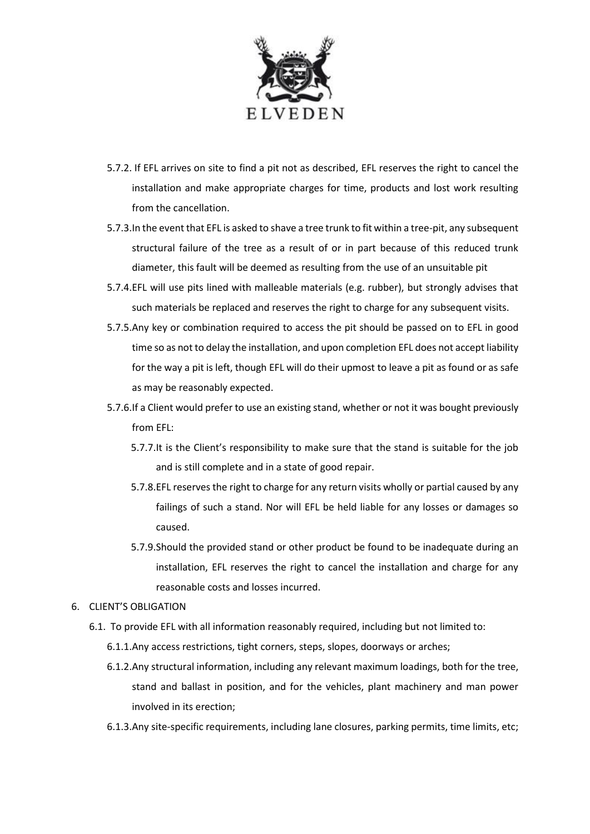

- 5.7.2. If EFL arrives on site to find a pit not as described, EFL reserves the right to cancel the installation and make appropriate charges for time, products and lost work resulting from the cancellation.
- 5.7.3.In the event that EFL is asked to shave a tree trunk to fit within a tree-pit, any subsequent structural failure of the tree as a result of or in part because of this reduced trunk diameter, this fault will be deemed as resulting from the use of an unsuitable pit
- 5.7.4.EFL will use pits lined with malleable materials (e.g. rubber), but strongly advises that such materials be replaced and reserves the right to charge for any subsequent visits.
- 5.7.5.Any key or combination required to access the pit should be passed on to EFL in good time so as not to delay the installation, and upon completion EFL does not accept liability for the way a pit is left, though EFL will do their upmost to leave a pit as found or as safe as may be reasonably expected.
- 5.7.6.If a Client would prefer to use an existing stand, whether or not it was bought previously from EFL:
	- 5.7.7.It is the Client's responsibility to make sure that the stand is suitable for the job and is still complete and in a state of good repair.
	- 5.7.8.EFL reserves the right to charge for any return visits wholly or partial caused by any failings of such a stand. Nor will EFL be held liable for any losses or damages so caused.
	- 5.7.9.Should the provided stand or other product be found to be inadequate during an installation, EFL reserves the right to cancel the installation and charge for any reasonable costs and losses incurred.
- 6. CLIENT'S OBLIGATION
	- 6.1. To provide EFL with all information reasonably required, including but not limited to:
		- 6.1.1.Any access restrictions, tight corners, steps, slopes, doorways or arches;
		- 6.1.2.Any structural information, including any relevant maximum loadings, both for the tree, stand and ballast in position, and for the vehicles, plant machinery and man power involved in its erection;
		- 6.1.3.Any site-specific requirements, including lane closures, parking permits, time limits, etc;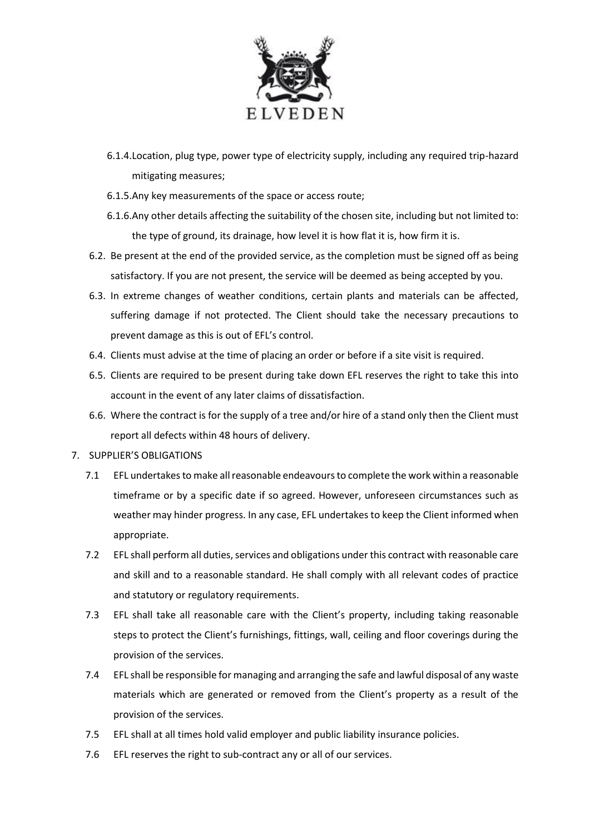

- 6.1.4.Location, plug type, power type of electricity supply, including any required trip-hazard mitigating measures;
- 6.1.5.Any key measurements of the space or access route;
- 6.1.6.Any other details affecting the suitability of the chosen site, including but not limited to: the type of ground, its drainage, how level it is how flat it is, how firm it is.
- 6.2. Be present at the end of the provided service, as the completion must be signed off as being satisfactory. If you are not present, the service will be deemed as being accepted by you.
- 6.3. In extreme changes of weather conditions, certain plants and materials can be affected, suffering damage if not protected. The Client should take the necessary precautions to prevent damage as this is out of EFL's control.
- 6.4. Clients must advise at the time of placing an order or before if a site visit is required.
- 6.5. Clients are required to be present during take down EFL reserves the right to take this into account in the event of any later claims of dissatisfaction.
- 6.6. Where the contract is for the supply of a tree and/or hire of a stand only then the Client must report all defects within 48 hours of delivery.

## 7. SUPPLIER'S OBLIGATIONS

- 7.1 EFL undertakes to make all reasonable endeavours to complete the work within a reasonable timeframe or by a specific date if so agreed. However, unforeseen circumstances such as weather may hinder progress. In any case, EFL undertakes to keep the Client informed when appropriate.
- 7.2 EFL shall perform all duties, services and obligations under this contract with reasonable care and skill and to a reasonable standard. He shall comply with all relevant codes of practice and statutory or regulatory requirements.
- 7.3 EFL shall take all reasonable care with the Client's property, including taking reasonable steps to protect the Client's furnishings, fittings, wall, ceiling and floor coverings during the provision of the services.
- 7.4 EFL shall be responsible for managing and arranging the safe and lawful disposal of any waste materials which are generated or removed from the Client's property as a result of the provision of the services.
- 7.5 EFL shall at all times hold valid employer and public liability insurance policies.
- 7.6 EFL reserves the right to sub-contract any or all of our services.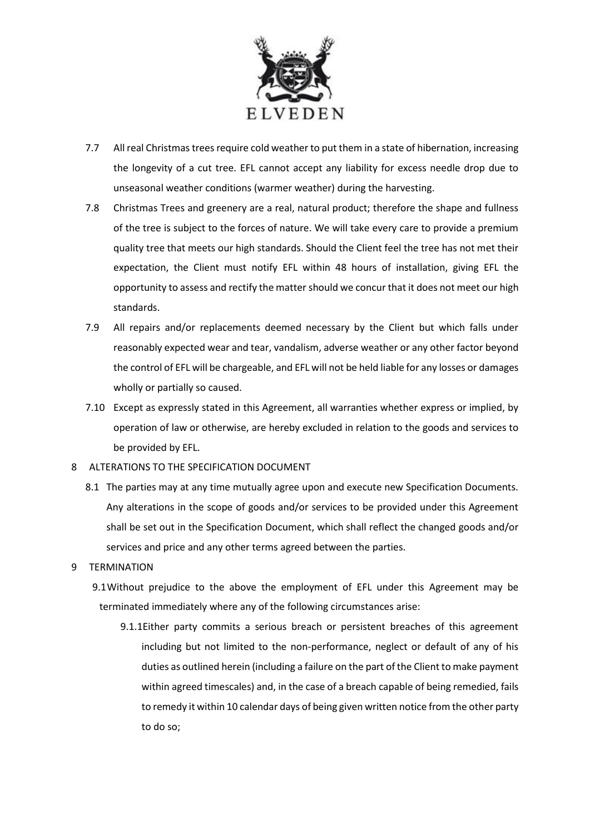

- 7.7 All real Christmas trees require cold weather to put them in a state of hibernation, increasing the longevity of a cut tree. EFL cannot accept any liability for excess needle drop due to unseasonal weather conditions (warmer weather) during the harvesting.
- 7.8 Christmas Trees and greenery are a real, natural product; therefore the shape and fullness of the tree is subject to the forces of nature. We will take every care to provide a premium quality tree that meets our high standards. Should the Client feel the tree has not met their expectation, the Client must notify EFL within 48 hours of installation, giving EFL the opportunity to assess and rectify the matter should we concur that it does not meet our high standards.
- 7.9 All repairs and/or replacements deemed necessary by the Client but which falls under reasonably expected wear and tear, vandalism, adverse weather or any other factor beyond the control of EFL will be chargeable, and EFL will not be held liable for any losses or damages wholly or partially so caused.
- 7.10 Except as expressly stated in this Agreement, all warranties whether express or implied, by operation of law or otherwise, are hereby excluded in relation to the goods and services to be provided by EFL.

#### 8 ALTERATIONS TO THE SPECIFICATION DOCUMENT

8.1 The parties may at any time mutually agree upon and execute new Specification Documents. Any alterations in the scope of goods and/or services to be provided under this Agreement shall be set out in the Specification Document, which shall reflect the changed goods and/or services and price and any other terms agreed between the parties.

#### 9 TERMINATION

- 9.1Without prejudice to the above the employment of EFL under this Agreement may be terminated immediately where any of the following circumstances arise:
	- 9.1.1Either party commits a serious breach or persistent breaches of this agreement including but not limited to the non-performance, neglect or default of any of his duties as outlined herein (including a failure on the part of the Client to make payment within agreed timescales) and, in the case of a breach capable of being remedied, fails to remedy it within 10 calendar days of being given written notice from the other party to do so;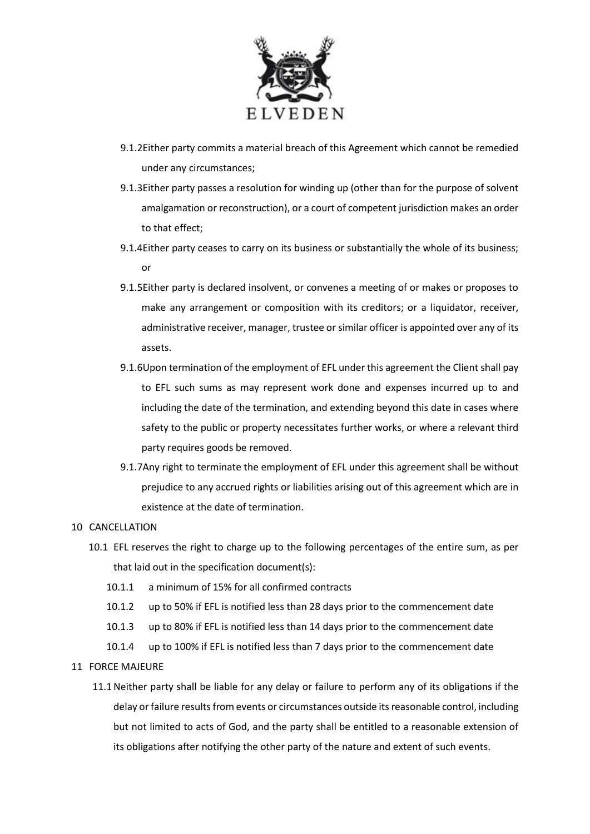

- 9.1.2Either party commits a material breach of this Agreement which cannot be remedied under any circumstances;
- 9.1.3Either party passes a resolution for winding up (other than for the purpose of solvent amalgamation or reconstruction), or a court of competent jurisdiction makes an order to that effect;
- 9.1.4Either party ceases to carry on its business or substantially the whole of its business; or
- 9.1.5Either party is declared insolvent, or convenes a meeting of or makes or proposes to make any arrangement or composition with its creditors; or a liquidator, receiver, administrative receiver, manager, trustee or similar officer is appointed over any of its assets.
- 9.1.6Upon termination of the employment of EFL under this agreement the Client shall pay to EFL such sums as may represent work done and expenses incurred up to and including the date of the termination, and extending beyond this date in cases where safety to the public or property necessitates further works, or where a relevant third party requires goods be removed.
- 9.1.7Any right to terminate the employment of EFL under this agreement shall be without prejudice to any accrued rights or liabilities arising out of this agreement which are in existence at the date of termination.

#### 10 CANCELLATION

- 10.1 EFL reserves the right to charge up to the following percentages of the entire sum, as per that laid out in the specification document(s):
	- 10.1.1 a minimum of 15% for all confirmed contracts
	- 10.1.2 up to 50% if EFL is notified less than 28 days prior to the commencement date
	- 10.1.3 up to 80% if EFL is notified less than 14 days prior to the commencement date
	- 10.1.4 up to 100% if EFL is notified less than 7 days prior to the commencement date
- 11 FORCE MAJEURE
	- 11.1Neither party shall be liable for any delay or failure to perform any of its obligations if the delay or failure results from events or circumstances outside its reasonable control, including but not limited to acts of God, and the party shall be entitled to a reasonable extension of its obligations after notifying the other party of the nature and extent of such events.